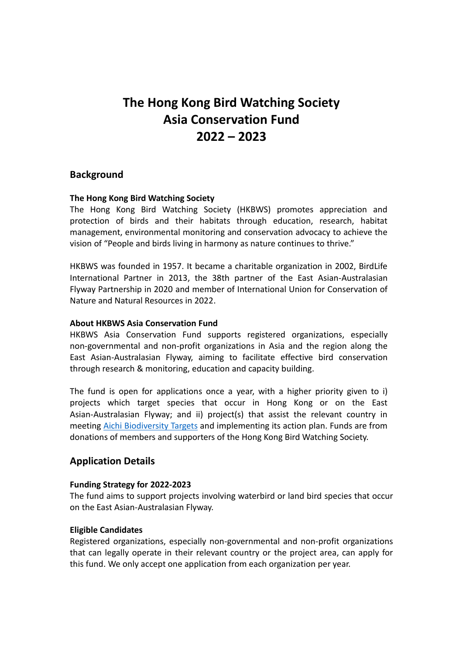# **The Hong Kong Bird Watching Society Asia Conservation Fund 2022 – 2023**

# **Background**

#### **The Hong Kong Bird Watching Society**

The Hong Kong Bird Watching Society (HKBWS) promotes appreciation and protection of birds and their habitats through education, research, habitat management, environmental monitoring and conservation advocacy to achieve the vision of "People and birds living in harmony as nature continues to thrive."

HKBWS was founded in 1957. It became a charitable organization in 2002, BirdLife International Partner in 2013, the 38th partner of the East Asian-Australasian Flyway Partnership in 2020 and member of International Union for Conservation of Nature and Natural Resources in 2022.

#### **About HKBWS Asia Conservation Fund**

HKBWS Asia Conservation Fund supports registered organizations, especially non-governmental and non-profit organizations in Asia and the region along the East Asian-Australasian Flyway, aiming to facilitate effective bird conservation through research & monitoring, education and capacity building.

The fund is open for applications once a year, with a higher priority given to i) projects which target species that occur in Hong Kong or on the East Asian-Australasian Flyway; and ii) project(s) that assist the relevant country in meeting [Aichi Biodiversity Targets](https://www.cbd.int/sp/targets/) and implementing its action plan. Funds are from donations of members and supporters of the Hong Kong Bird Watching Society.

# **Application Details**

#### **Funding Strategy for 2022-2023**

The fund aims to support projects involving waterbird or land bird species that occur on the East Asian-Australasian Flyway.

#### **Eligible Candidates**

Registered organizations, especially non-governmental and non-profit organizations that can legally operate in their relevant country or the project area, can apply for this fund. We only accept one application from each organization per year.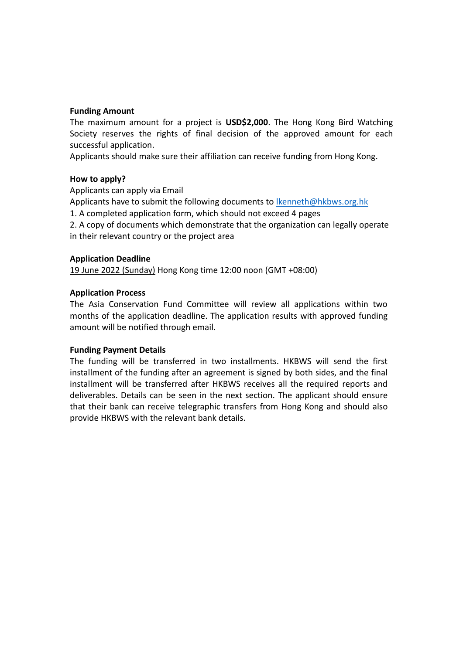## **Funding Amount**

The maximum amount for a project is **USD\$2,000**. The Hong Kong Bird Watching Society reserves the rights of final decision of the approved amount for each successful application.

Applicants should make sure their affiliation can receive funding from Hong Kong.

## **How to apply?**

Applicants can apply via Email

Applicants have to submit the following documents to [lkenneth@hkbws.org.hk](mailto:lkenneth@hkbws.org.hk)

1. A completed application form, which should not exceed 4 pages

2. A copy of documents which demonstrate that the organization can legally operate in their relevant country or the project area

## **Application Deadline**

19 June 2022 (Sunday) Hong Kong time 12:00 noon (GMT +08:00)

# **Application Process**

The Asia Conservation Fund Committee will review all applications within two months of the application deadline. The application results with approved funding amount will be notified through email.

## **Funding Payment Details**

The funding will be transferred in two installments. HKBWS will send the first installment of the funding after an agreement is signed by both sides, and the final installment will be transferred after HKBWS receives all the required reports and deliverables. Details can be seen in the next section. The applicant should ensure that their bank can receive telegraphic transfers from Hong Kong and should also provide HKBWS with the relevant bank details.